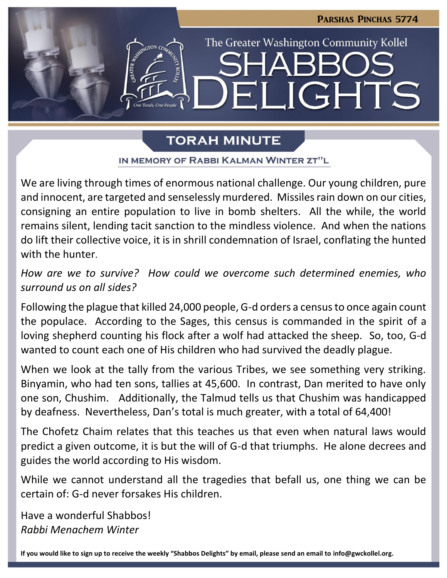

# **TORAH MINUTE**

IN MEMORY OF RABBI KALMAN WINTER ZT"L

We are living through times of enormous national challenge. Our young children, pure and innocent, are targeted and senselessly murdered. Missiles rain down on our cities, consigning an entire population to live in bomb shelters. All the while, the world remains silent, lending tacit sanction to the mindless violence. And when the nations do lift their collective voice, it is in shrill condemnation of Israel, conflating the hunted with the hunter.

*How are we to survive? How could we overcome such determined enemies, who surround us on all sides?* 

Following the plague that killed 24,000 people, G-d orders a census to once again count the populace. According to the Sages, this census is commanded in the spirit of a loving shepherd counting his flock after a wolf had attacked the sheep. So, too, G-d wanted to count each one of His children who had survived the deadly plague.

When we look at the tally from the various Tribes, we see something very striking. Binyamin, who had ten sons, tallies at 45,600. In contrast, Dan merited to have only one son, Chushim. Additionally, the Talmud tells us that Chushim was handicapped by deafness. Nevertheless, Dan's total is much greater, with a total of 64,400!

The Chofetz Chaim relates that this teaches us that even when natural laws would predict a given outcome, it is but the will of G-d that triumphs. He alone decrees and guides the world according to His wisdom.

While we cannot understand all the tragedies that befall us, one thing we can be certain of: G-d never forsakes His children.

Have a wonderful Shabbos! *Rabbi Menachem Winter*

**If you would like to sign up to receive the weekly "Shabbos Delights" by email, please send an email to [info@gwckollel.org.](mailto:info@gwckollel.org)**